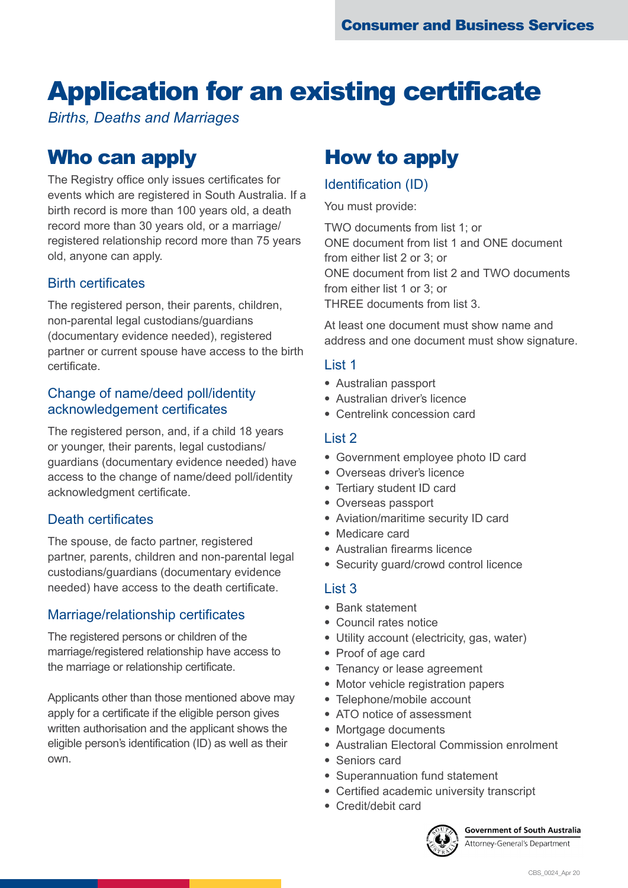# Application for an existing certificate

*Births, Deaths and Marriages*

### Who can apply

The Registry office only issues certificates for events which are registered in South Australia. If a birth record is more than 100 years old, a death record more than 30 years old, or a marriage/ registered relationship record more than 75 years old, anyone can apply.

### Birth certificates

The registered person, their parents, children, non-parental legal custodians/guardians (documentary evidence needed), registered partner or current spouse have access to the birth certificate.

### Change of name/deed poll/identity acknowledgement certificates

The registered person, and, if a child 18 years or younger, their parents, legal custodians/ guardians (documentary evidence needed) have access to the change of name/deed poll/identity acknowledgment certificate.

### Death certificates

The spouse, de facto partner, registered partner, parents, children and non-parental legal custodians/guardians (documentary evidence needed) have access to the death certificate.

### Marriage/relationship certificates

The registered persons or children of the marriage/registered relationship have access to the marriage or relationship certificate.

Applicants other than those mentioned above may apply for a certificate if the eligible person gives written authorisation and the applicant shows the eligible person's identification (ID) as well as their own.

### How to apply

### Identification (ID)

You must provide:

TWO documents from list 1; or ONE document from list 1 and ONE document from either list 2 or 3; or ONE document from list 2 and TWO documents from either list 1 or 3; or THREE documents from list 3.

At least one document must show name and address and one document must show signature.

### List 1

- Australian passport
- Australian driver's licence
- Centrelink concession card

### List 2

- Government employee photo ID card
- Overseas driver's licence
- Tertiary student ID card
- Overseas passport
- Aviation/maritime security ID card
- Medicare card
- Australian firearms licence
- Security guard/crowd control licence

#### List 3

- Bank statement
- Council rates notice
- Utility account (electricity, gas, water)
- Proof of age card
- Tenancy or lease agreement
- Motor vehicle registration papers
- Telephone/mobile account
- ATO notice of assessment
- Mortgage documents
- Australian Electoral Commission enrolment
- Seniors card
- Superannuation fund statement
- Certified academic university transcript
- Credit/debit card



**Government of South Australia** Attorney-General's Department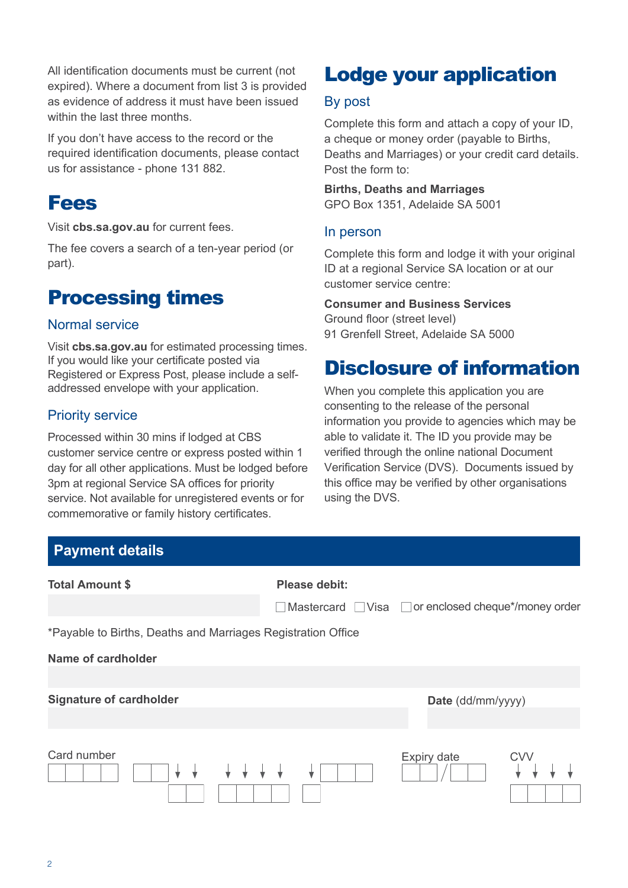All identification documents must be current (not expired). Where a document from list 3 is provided as evidence of address it must have been issued within the last three months.

If you don't have access to the record or the required identification documents, please contact us for assistance - phone 131 882.

### Fees

Visit **[cbs.sa.gov.au](http://cbs.sa.gov.au)** for current fees.

The fee covers a search of a ten-year period (or part).

### Processing times

### Normal service

Visit **[cbs.sa.gov.au](http://cbs.sa.gov.au)** for estimated processing times. If you would like your certificate posted via Registered or Express Post, please include a selfaddressed envelope with your application.

### Priority service

Processed within 30 mins if lodged at CBS customer service centre or express posted within 1 day for all other applications. Must be lodged before 3pm at regional Service SA offices for priority service. Not available for unregistered events or for commemorative or family history certificates.

## Lodge your application

#### By post

Complete this form and attach a copy of your ID, a cheque or money order (payable to Births, Deaths and Marriages) or your credit card details. Post the form to:

**Births, Deaths and Marriages**  GPO Box 1351, Adelaide SA 5001

#### In person

Complete this form and lodge it with your original ID at a regional Service SA location or at our customer service centre:

#### **Consumer and Business Services**

Ground floor (street level) 91 Grenfell Street, Adelaide SA 5000

### Disclosure of information

When you complete this application you are consenting to the release of the personal information you provide to agencies which may be able to validate it. The ID you provide may be verified through the online national Document Verification Service (DVS). Documents issued by this office may be verified by other organisations using the DVS.

| <b>Payment details</b>                                       |               |                                                 |
|--------------------------------------------------------------|---------------|-------------------------------------------------|
| <b>Total Amount \$</b>                                       | Please debit: |                                                 |
|                                                              |               | Mastercard Visa or enclosed cheque*/money order |
| *Payable to Births, Deaths and Marriages Registration Office |               |                                                 |
| Name of cardholder                                           |               |                                                 |
| <b>Signature of cardholder</b>                               |               | Date (dd/mm/yyyy)                               |
| Card number                                                  |               | Expiry date<br><b>CVV</b>                       |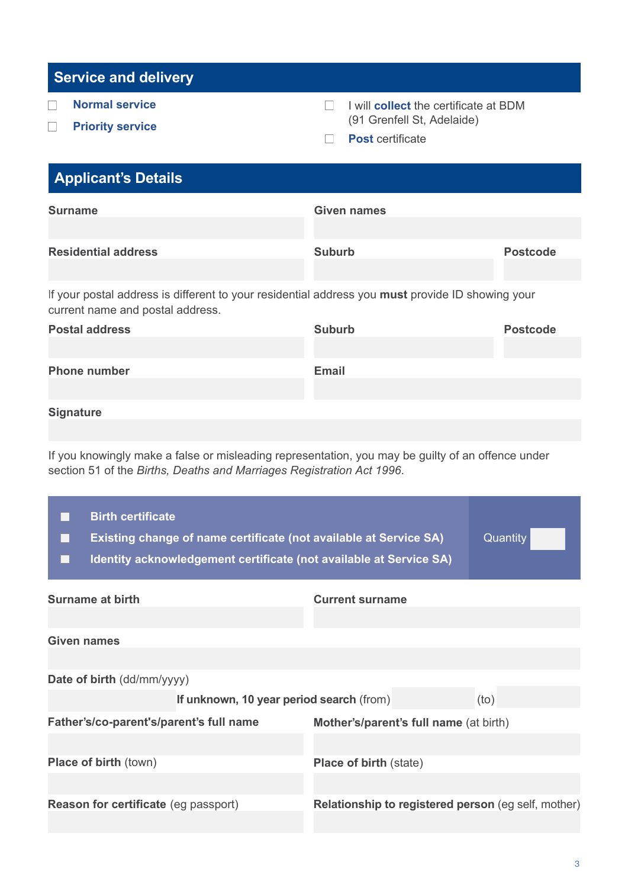|  |  | <b>Service and delivery</b> |
|--|--|-----------------------------|
|  |  |                             |

- **Normal service**  $\Box$
- **Priority service**  $\Box$
- I will **collect** the certificate at BDM  $\Box$ (91 Grenfell St, Adelaide)
- **Post** certificate

| <b>Applicant's Details</b>                                                                                                                  |               |                 |
|---------------------------------------------------------------------------------------------------------------------------------------------|---------------|-----------------|
| <b>Surname</b>                                                                                                                              | Given names   |                 |
|                                                                                                                                             |               |                 |
| <b>Residential address</b>                                                                                                                  | <b>Suburb</b> | <b>Postcode</b> |
|                                                                                                                                             |               |                 |
| If your postal address is different to your residential address you <b>must</b> provide ID showing your<br>current name and postal address. |               |                 |
| <b>Doetal address</b>                                                                                                                       | Suburh        | <b>Doctcode</b> |

| <b>Postal address</b> | <b>Suburb</b> | <b>Postcode</b> |
|-----------------------|---------------|-----------------|
|                       |               |                 |
| <b>Phone number</b>   | <b>Email</b>  |                 |
|                       |               |                 |
|                       |               |                 |

**Signature**

If you knowingly make a false or misleading representation, you may be guilty of an offence under section 51 of the *Births, Deaths and Marriages Registration Act 1996*.

| <b>Birth certificate</b><br><b>Existing change of name certificate (not available at Service SA)</b><br>Identity acknowledgement certificate (not available at Service SA) |                                                            | Quantity |
|----------------------------------------------------------------------------------------------------------------------------------------------------------------------------|------------------------------------------------------------|----------|
| <b>Surname at birth</b>                                                                                                                                                    | <b>Current surname</b>                                     |          |
|                                                                                                                                                                            |                                                            |          |
| <b>Given names</b>                                                                                                                                                         |                                                            |          |
|                                                                                                                                                                            |                                                            |          |
| Date of birth (dd/mm/yyyy)                                                                                                                                                 |                                                            |          |
| If unknown, 10 year period search (from)                                                                                                                                   |                                                            | (to)     |
| Father's/co-parent's/parent's full name                                                                                                                                    | Mother's/parent's full name (at birth)                     |          |
|                                                                                                                                                                            |                                                            |          |
| <b>Place of birth (town)</b>                                                                                                                                               | <b>Place of birth (state)</b>                              |          |
|                                                                                                                                                                            |                                                            |          |
| <b>Reason for certificate (eg passport)</b>                                                                                                                                | <b>Relationship to registered person (eg self, mother)</b> |          |